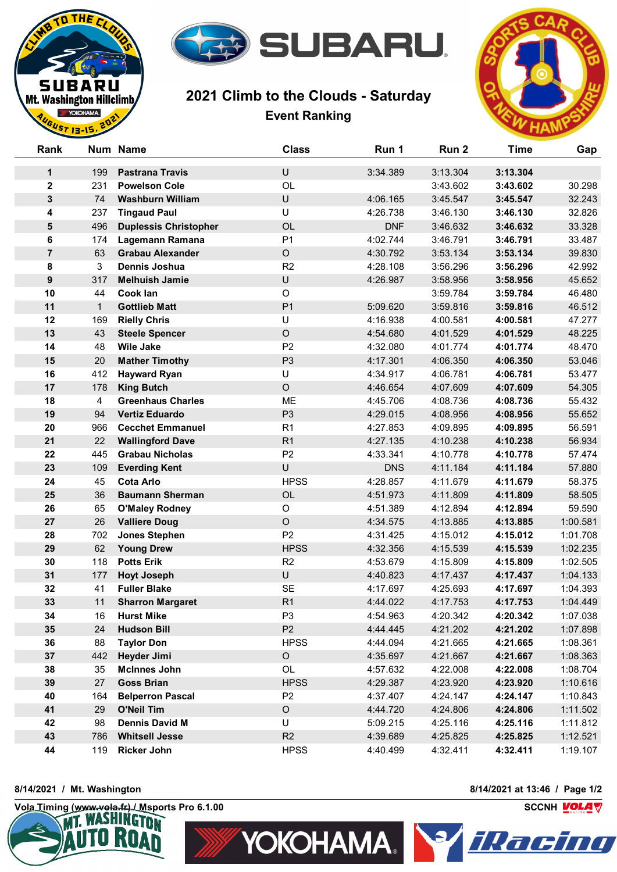

## **2021 Climb to the Clouds - Saturday Event Ranking**



| Rank             |              | Num Name                                 | <b>Class</b>      | Run 1                | Run 2                | <b>Time</b>          | Gap                  |
|------------------|--------------|------------------------------------------|-------------------|----------------------|----------------------|----------------------|----------------------|
| 1                | 199          | <b>Pastrana Travis</b>                   | U                 | 3:34.389             | 3:13.304             | 3:13.304             |                      |
| $\mathbf 2$      | 231          | <b>Powelson Cole</b>                     | OL                |                      | 3:43.602             | 3:43.602             | 30.298               |
| 3                | 74           | <b>Washburn William</b>                  | U                 | 4:06.165             | 3:45.547             | 3:45.547             | 32.243               |
| 4                | 237          | <b>Tingaud Paul</b>                      | U                 | 4:26.738             | 3:46.130             | 3:46.130             | 32.826               |
| 5                | 496          | <b>Duplessis Christopher</b>             | OL                | <b>DNF</b>           | 3:46.632             | 3:46.632             | 33.328               |
| $\bf 6$          | 174          | Lagemann Ramana                          | P <sub>1</sub>    | 4:02.744             | 3:46.791             | 3:46.791             | 33.487               |
| $\overline{7}$   | 63           | <b>Grabau Alexander</b>                  | $\circ$           | 4:30.792             | 3:53.134             | 3:53.134             | 39.830               |
| 8                | 3            | <b>Dennis Joshua</b>                     | R2                | 4:28.108             | 3:56.296             | 3:56.296             | 42.992               |
| $\boldsymbol{9}$ | 317          | <b>Melhuish Jamie</b>                    | U                 | 4:26.987             | 3:58.956             | 3:58.956             | 45.652               |
| 10               | 44           | Cook lan                                 | $\mathsf O$       |                      | 3:59.784             | 3:59.784             | 46.480               |
| 11               | $\mathbf{1}$ | <b>Gottlieb Matt</b>                     | P <sub>1</sub>    | 5:09.620             | 3:59.816             | 3:59.816             | 46.512               |
| 12               | 169          | <b>Rielly Chris</b>                      | U                 | 4:16.938             | 4:00.581             | 4:00.581             | 47.277               |
| 13               | 43           | <b>Steele Spencer</b>                    | $\circ$           | 4:54.680             | 4:01.529             | 4:01.529             | 48.225               |
| 14               | 48           | <b>Wile Jake</b>                         | P <sub>2</sub>    | 4:32.080             | 4:01.774             | 4:01.774             | 48.470               |
| 15               | 20           | <b>Mather Timothy</b>                    | P <sub>3</sub>    | 4:17.301             | 4:06.350             | 4:06.350             | 53.046               |
| 16               | 412          | <b>Hayward Ryan</b>                      | U                 | 4:34.917             | 4:06.781             | 4:06.781             | 53.477               |
| 17               | 178          | <b>King Butch</b>                        | $\circ$           | 4:46.654             | 4:07.609             | 4:07.609             | 54.305               |
| 18               | 4            | <b>Greenhaus Charles</b>                 | ME                | 4:45.706             | 4:08.736             | 4:08.736             | 55.432               |
| 19               | 94           | <b>Vertiz Eduardo</b>                    | P <sub>3</sub>    | 4:29.015             | 4:08.956             | 4:08.956             | 55.652               |
| 20               | 966          | <b>Cecchet Emmanuel</b>                  | R <sub>1</sub>    | 4:27.853             | 4:09.895             | 4:09.895             | 56.591               |
| 21               | 22           | <b>Wallingford Dave</b>                  | R <sub>1</sub>    | 4:27.135             | 4:10.238             | 4:10.238             | 56.934               |
| 22               | 445          | <b>Grabau Nicholas</b>                   | P <sub>2</sub>    | 4:33.341             | 4:10.778             | 4:10.778             | 57.474               |
| 23               | 109          | <b>Everding Kent</b>                     | U                 | <b>DNS</b>           | 4:11.184             | 4:11.184             | 57.880               |
| 24               | 45           | <b>Cota Arlo</b>                         | <b>HPSS</b>       | 4:28.857             | 4:11.679             | 4:11.679             | 58.375               |
| 25               | 36           | <b>Baumann Sherman</b>                   | OL                | 4:51.973             | 4:11.809             | 4:11.809             | 58.505               |
| 26               | 65           | <b>O'Maley Rodney</b>                    | $\circ$           | 4:51.389             | 4:12.894             | 4:12.894             | 59.590               |
| 27               | 26           | <b>Valliere Doug</b>                     | $\circ$           | 4:34.575             | 4:13.885             | 4:13.885             | 1:00.581             |
| 28               | 702          | <b>Jones Stephen</b>                     | P <sub>2</sub>    | 4:31.425             | 4:15.012             | 4:15.012             | 1:01.708             |
| 29               | 62           | <b>Young Drew</b>                        | <b>HPSS</b>       | 4:32.356             | 4:15.539             | 4:15.539             | 1:02.235             |
| 30               | 118          | <b>Potts Erik</b>                        | R2                | 4:53.679             | 4:15.809             | 4:15.809             | 1:02.505             |
| 31               | 177          | <b>Hoyt Joseph</b>                       | U                 | 4:40.823             | 4:17.437             | 4:17.437             | 1:04.133             |
| 32               | 41           | <b>Fuller Blake</b>                      | SE                | 4:17.697             | 4:25.693             | 4:17.697             | 1:04.393             |
| 33               | 11           | <b>Sharron Margaret</b>                  | R1                | 4:44.022             | 4:17.753             | 4:17.753             | 1:04.449             |
| 34               | 16           | <b>Hurst Mike</b>                        | P <sub>3</sub>    | 4:54.963             | 4:20.342             | 4:20.342             | 1:07.038             |
| 35               | 24           | <b>Hudson Bill</b>                       | P <sub>2</sub>    | 4:44.445             | 4:21.202             | 4:21.202             | 1:07.898             |
| 36               | 88           | <b>Taylor Don</b>                        | <b>HPSS</b>       | 4:44.094             | 4:21.665             | 4:21.665             | 1:08.361             |
| 37               | 442          | <b>Heyder Jimi</b>                       | $\mathsf O$       | 4:35.697             | 4:21.667             | 4:21.667             | 1:08.363             |
| 38               | 35<br>27     | <b>McInnes John</b><br><b>Goss Brian</b> | OL<br><b>HPSS</b> | 4:57.632             | 4:22.008             | 4:22.008<br>4:23.920 | 1:08.704             |
| 39<br>40         | 164          | <b>Belperron Pascal</b>                  | P <sub>2</sub>    | 4:29.387<br>4:37.407 | 4:23.920<br>4:24.147 | 4:24.147             | 1:10.616<br>1:10.843 |
| 41               | 29           | <b>O'Neil Tim</b>                        | $\mathsf O$       | 4:44.720             | 4:24.806             | 4:24.806             | 1:11.502             |
| 42               | 98           | <b>Dennis David M</b>                    | U                 | 5:09.215             | 4:25.116             | 4:25.116             | 1:11.812             |
| 43               | 786          | <b>Whitsell Jesse</b>                    | R2                | 4:39.689             | 4:25.825             | 4:25.825             | 1:12.521             |
| 44               | 119          | <b>Ricker John</b>                       | <b>HPSS</b>       | 4:40.499             | 4:32.411             | 4:32.411             | 1:19.107             |
|                  |              |                                          |                   |                      |                      |                      |                      |

THE C

**SUBARU** Mt. Washington Hillclimb YOKOHAMA. UST 13-15.

 $\mathbf{u}$ 



**8/14/2021 / Mt. Washington 8/14/2021 at 13:46 / Page 1/2**